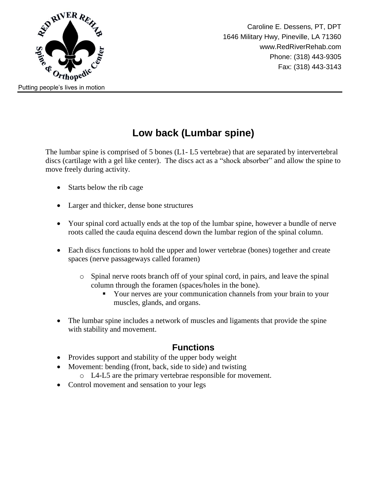

# **Low back (Lumbar spine)**

The lumbar spine is comprised of 5 bones (L1- L5 vertebrae) that are separated by intervertebral discs (cartilage with a gel like center). The discs act as a "shock absorber" and allow the spine to move freely during activity.

- Starts below the rib cage
- Larger and thicker, dense bone structures
- Your spinal cord actually ends at the top of the lumbar spine, however a bundle of nerve roots called the cauda equina descend down the lumbar region of the spinal column.
- Each discs functions to hold the upper and lower vertebrae (bones) together and create spaces (nerve passageways called foramen)
	- o Spinal nerve roots branch off of your spinal cord, in pairs, and leave the spinal column through the foramen (spaces/holes in the bone).
		- Your nerves are your communication channels from your brain to your muscles, glands, and organs.
- The lumbar spine includes a network of muscles and ligaments that provide the spine with stability and movement.

#### **Functions**

- Provides support and stability of the upper body weight
- Movement: bending (front, back, side to side) and twisting
	- o L4-L5 are the primary vertebrae responsible for movement.
- Control movement and sensation to your legs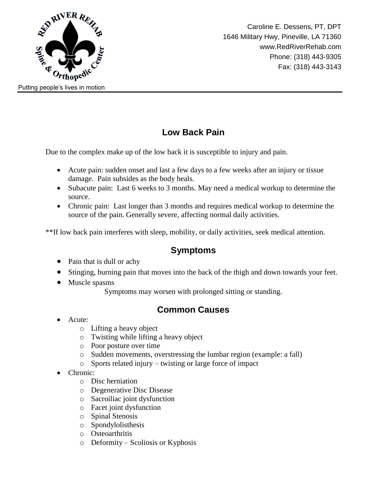

### **Low Back Pain**

Due to the complex make up of the low back it is susceptible to injury and pain.

- Acute pain: sudden onset and last a few days to a few weeks after an injury or tissue damage. Pain subsides as the body heals.
- Subacute pain: Last 6 weeks to 3 months. May need a medical workup to determine the source.
- Chronic pain: Last longer than 3 months and requires medical workup to determine the source of the pain. Generally severe, affecting normal daily activities.

\*\*If low back pain interferes with sleep, mobility, or daily activities, seek medical attention.

#### **Symptoms**

- Pain that is dull or achy
- Stinging, burning pain that moves into the back of the thigh and down towards your feet.
- Muscle spasms

Symptoms may worsen with prolonged sitting or standing.

#### **Common Causes**

- Acute:
	- o Lifting a heavy object
	- o Twisting while lifting a heavy object
	- o Poor posture over time
	- o Sudden movements, overstressing the lumbar region (example: a fall)
	- o Sports related injury twisting or large force of impact
- Chronic:
	- o Disc herniation
	- o Degenerative Disc Disease
	- o Sacroiliac joint dysfunction
	- o Facet joint dysfunction
	- o Spinal Stenosis
	- o Spondylolisthesis
	- o Osteoarthritis
	- o Deformity Scoliosis or Kyphosis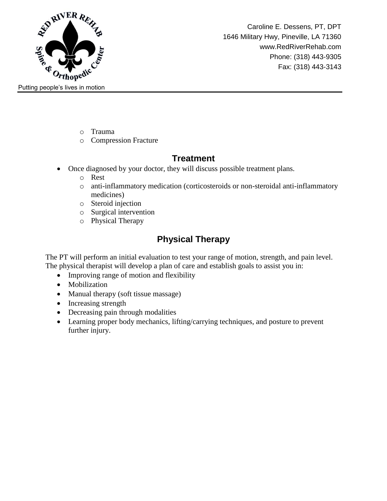

- o Trauma
- o Compression Fracture

### **Treatment**

- Once diagnosed by your doctor, they will discuss possible treatment plans.
	- o Rest
	- o anti-inflammatory medication (corticosteroids or non-steroidal anti-inflammatory medicines)
	- o Steroid injection
	- o Surgical intervention
	- o Physical Therapy

## **Physical Therapy**

The PT will perform an initial evaluation to test your range of motion, strength, and pain level. The physical therapist will develop a plan of care and establish goals to assist you in:

- Improving range of motion and flexibility
- Mobilization
- Manual therapy (soft tissue massage)
- Increasing strength
- Decreasing pain through modalities
- Learning proper body mechanics, lifting/carrying techniques, and posture to prevent further injury.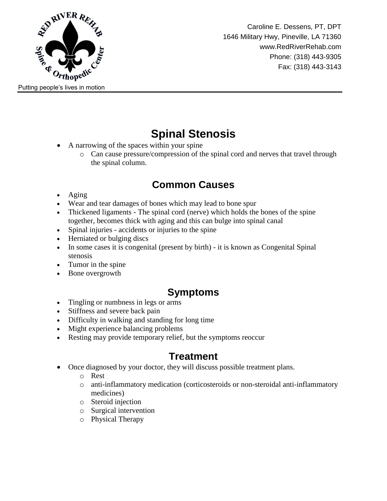

# **Spinal Stenosis**

- A narrowing of the spaces within your spine
	- o Can cause pressure/compression of the spinal cord and nerves that travel through the spinal column.

## **Common Causes**

- Aging
- Wear and tear damages of bones which may lead to bone spur
- Thickened ligaments The spinal cord (nerve) which holds the bones of the spine together, becomes thick with aging and this can bulge into spinal canal
- Spinal injuries accidents or injuries to the spine
- Herniated or bulging discs
- In some cases it is congenital (present by birth) it is known as Congenital Spinal stenosis
- Tumor in the spine
- Bone overgrowth

## **Symptoms**

- Tingling or numbness in legs or arms
- Stiffness and severe back pain
- Difficulty in walking and standing for long time
- Might experience balancing problems
- Resting may provide temporary relief, but the symptoms reoccur

### **Treatment**

- Once diagnosed by your doctor, they will discuss possible treatment plans.
	- o Rest
	- o anti-inflammatory medication (corticosteroids or non-steroidal anti-inflammatory medicines)
	- o Steroid injection
	- o Surgical intervention
	- o Physical Therapy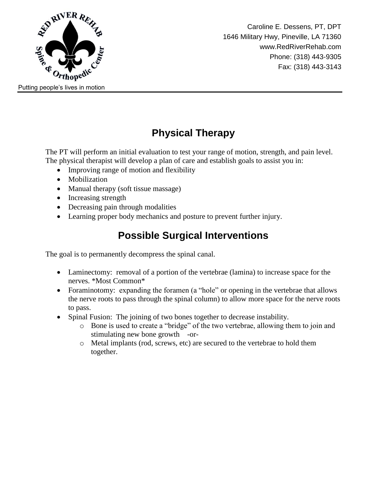

# **Physical Therapy**

The PT will perform an initial evaluation to test your range of motion, strength, and pain level. The physical therapist will develop a plan of care and establish goals to assist you in:

- Improving range of motion and flexibility
- Mobilization
- Manual therapy (soft tissue massage)
- Increasing strength
- Decreasing pain through modalities
- Learning proper body mechanics and posture to prevent further injury.

# **Possible Surgical Interventions**

The goal is to permanently decompress the spinal canal.

- Laminectomy: removal of a portion of the vertebrae (lamina) to increase space for the nerves. \*Most Common\*
- Foraminotomy: expanding the foramen (a "hole" or opening in the vertebrae that allows the nerve roots to pass through the spinal column) to allow more space for the nerve roots to pass.
- Spinal Fusion: The joining of two bones together to decrease instability.
	- o Bone is used to create a "bridge" of the two vertebrae, allowing them to join and stimulating new bone growth -or-
	- o Metal implants (rod, screws, etc) are secured to the vertebrae to hold them together.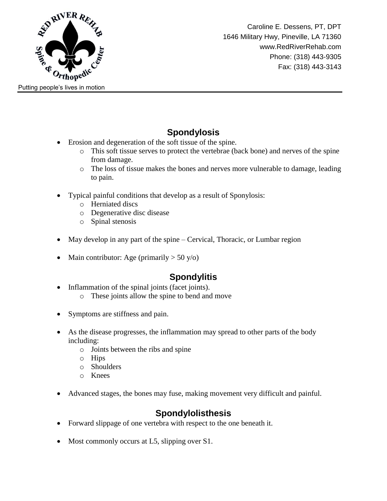

### **Spondylosis**

- Erosion and degeneration of the soft tissue of the spine.
	- o This soft tissue serves to protect the vertebrae (back bone) and nerves of the spine from damage.
	- o The loss of tissue makes the bones and nerves more vulnerable to damage, leading to pain.
- Typical painful conditions that develop as a result of Sponylosis:
	- o Herniated discs
	- o Degenerative disc disease
	- o Spinal stenosis
- May develop in any part of the spine Cervical, Thoracic, or Lumbar region
- Main contributor: Age (primarily  $> 50$  y/o)

### **Spondylitis**

- Inflammation of the spinal joints (facet joints).
	- o These joints allow the spine to bend and move
- Symptoms are stiffness and pain.
- As the disease progresses, the inflammation may spread to other parts of the body including:
	- o Joints between the ribs and spine
	- o Hips
	- o Shoulders
	- o Knees
- Advanced stages, the bones may fuse, making movement very difficult and painful.

### **Spondylolisthesis**

- Forward slippage of one vertebra with respect to the one beneath it.
- Most commonly occurs at L5, slipping over S1.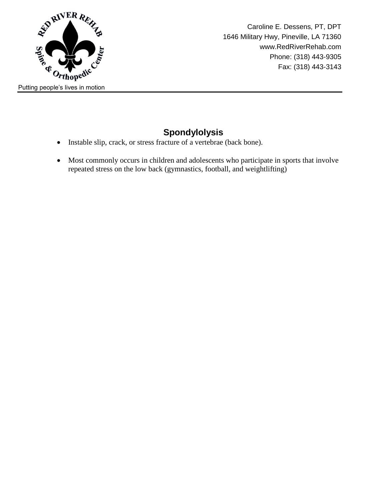

### **Spondylolysis**

- Instable slip, crack, or stress fracture of a vertebrae (back bone).
- Most commonly occurs in children and adolescents who participate in sports that involve repeated stress on the low back (gymnastics, football, and weightlifting)